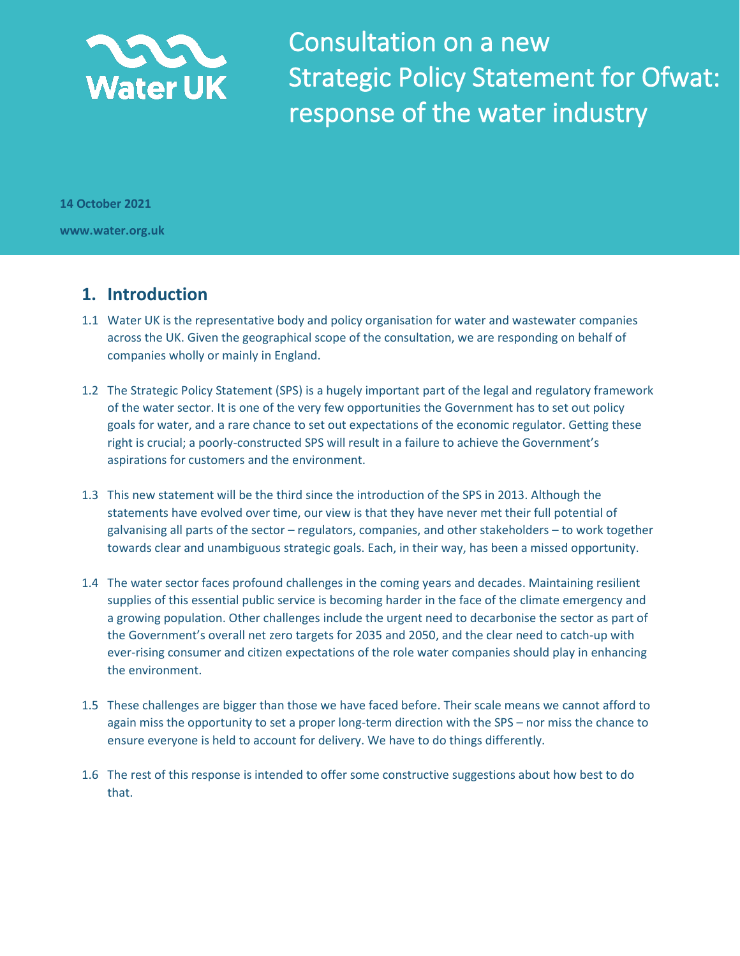

**NAME CONSULTATION ON A NEW YORK OF THE UPPER STATE OF THE UPPER STATE OF THE UPPER STATE OF THE UPPER STATE OF THE UPPER STATE OF THE UPPER STATE OF THE UPPER STATE OF THE UPPER STATE OF THE UPPER STATE OF THE UPPER STATE** Strategic Policy Statement for Ofwat: response of the water industry

**14 October 2021 www.water.org.uk**

# **1. Introduction**

- 1.1 Water UK is the representative body and policy organisation for water and wastewater companies across the UK. Given the geographical scope of the consultation, we are responding on behalf of companies wholly or mainly in England.
- 1.2 The Strategic Policy Statement (SPS) is a hugely important part of the legal and regulatory framework of the water sector. It is one of the very few opportunities the Government has to set out policy goals for water, and a rare chance to set out expectations of the economic regulator. Getting these right is crucial; a poorly-constructed SPS will result in a failure to achieve the Government's aspirations for customers and the environment.
- 1.3 This new statement will be the third since the introduction of the SPS in 2013. Although the statements have evolved over time, our view is that they have never met their full potential of galvanising all parts of the sector – regulators, companies, and other stakeholders – to work together towards clear and unambiguous strategic goals. Each, in their way, has been a missed opportunity.
- 1.4 The water sector faces profound challenges in the coming years and decades. Maintaining resilient supplies of this essential public service is becoming harder in the face of the climate emergency and a growing population. Other challenges include the urgent need to decarbonise the sector as part of the Government's overall net zero targets for 2035 and 2050, and the clear need to catch-up with ever-rising consumer and citizen expectations of the role water companies should play in enhancing the environment.
- 1.5 These challenges are bigger than those we have faced before. Their scale means we cannot afford to again miss the opportunity to set a proper long-term direction with the SPS – nor miss the chance to ensure everyone is held to account for delivery. We have to do things differently.
- 1.6 The rest of this response is intended to offer some constructive suggestions about how best to do that.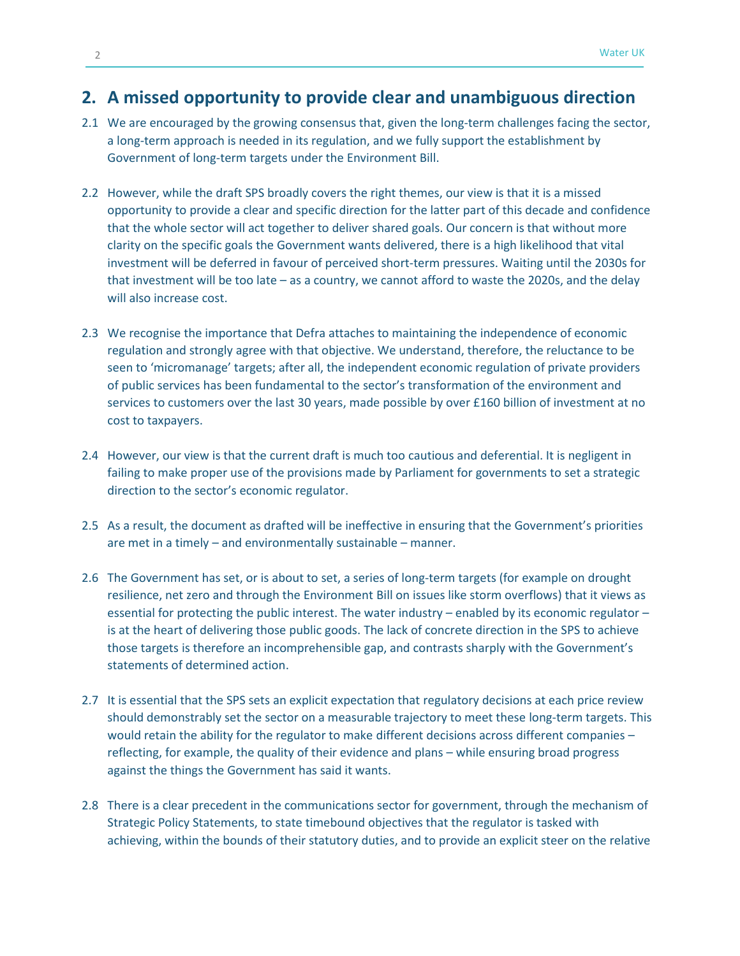### **2. A missed opportunity to provide clear and unambiguous direction**

- 2.1 We are encouraged by the growing consensus that, given the long-term challenges facing the sector, a long-term approach is needed in its regulation, and we fully support the establishment by Government of long-term targets under the Environment Bill.
- 2.2 However, while the draft SPS broadly covers the right themes, our view is that it is a missed opportunity to provide a clear and specific direction for the latter part of this decade and confidence that the whole sector will act together to deliver shared goals. Our concern is that without more clarity on the specific goals the Government wants delivered, there is a high likelihood that vital investment will be deferred in favour of perceived short-term pressures. Waiting until the 2030s for that investment will be too late – as a country, we cannot afford to waste the 2020s, and the delay will also increase cost.
- 2.3 We recognise the importance that Defra attaches to maintaining the independence of economic regulation and strongly agree with that objective. We understand, therefore, the reluctance to be seen to 'micromanage' targets; after all, the independent economic regulation of private providers of public services has been fundamental to the sector's transformation of the environment and services to customers over the last 30 years, made possible by over £160 billion of investment at no cost to taxpayers.
- 2.4 However, our view is that the current draft is much too cautious and deferential. It is negligent in failing to make proper use of the provisions made by Parliament for governments to set a strategic direction to the sector's economic regulator.
- 2.5 As a result, the document as drafted will be ineffective in ensuring that the Government's priorities are met in a timely – and environmentally sustainable – manner.
- 2.6 The Government has set, or is about to set, a series of long-term targets (for example on drought resilience, net zero and through the Environment Bill on issues like storm overflows) that it views as essential for protecting the public interest. The water industry – enabled by its economic regulator – is at the heart of delivering those public goods. The lack of concrete direction in the SPS to achieve those targets is therefore an incomprehensible gap, and contrasts sharply with the Government's statements of determined action.
- 2.7 It is essential that the SPS sets an explicit expectation that regulatory decisions at each price review should demonstrably set the sector on a measurable trajectory to meet these long-term targets. This would retain the ability for the regulator to make different decisions across different companies – reflecting, for example, the quality of their evidence and plans – while ensuring broad progress against the things the Government has said it wants.
- 2.8 There is a clear precedent in the communications sector for government, through the mechanism of Strategic Policy Statements, to state timebound objectives that the regulator is tasked with achieving, within the bounds of their statutory duties, and to provide an explicit steer on the relative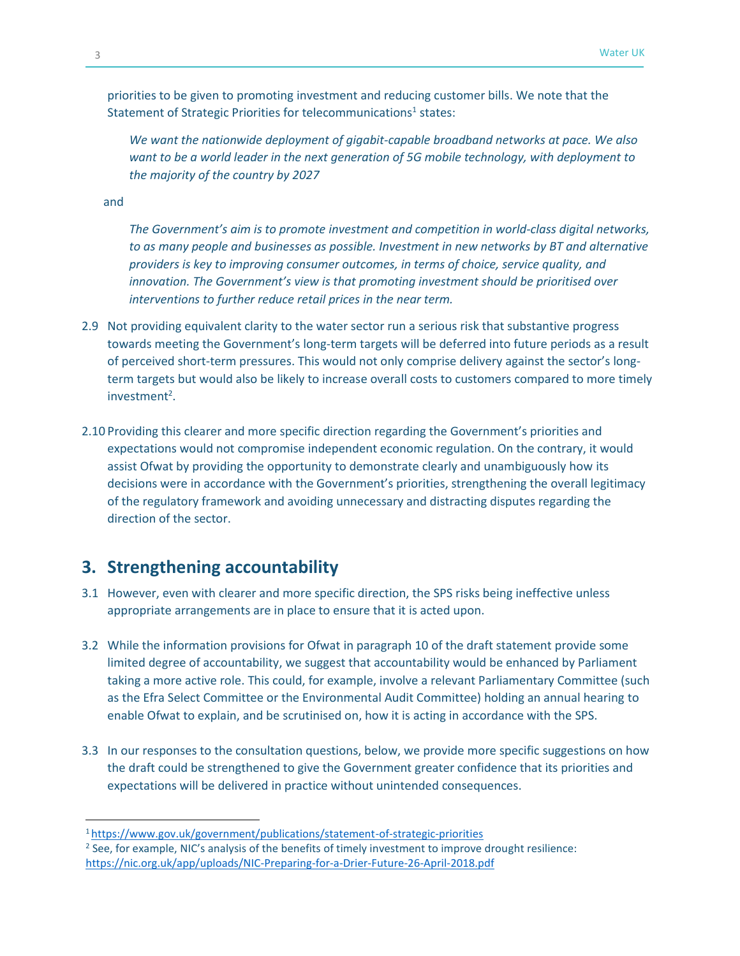priorities to be given to promoting investment and reducing customer bills. We note that the Statement of Strategic Priorities for telecommunications<sup>1</sup> states:

*We want the nationwide deployment of gigabit-capable broadband networks at pace. We also want to be a world leader in the next generation of 5G mobile technology, with deployment to the majority of the country by 2027*

and

*The Government's aim is to promote investment and competition in world-class digital networks, to as many people and businesses as possible. Investment in new networks by BT and alternative providers is key to improving consumer outcomes, in terms of choice, service quality, and innovation. The Government's view is that promoting investment should be prioritised over interventions to further reduce retail prices in the near term.*

- 2.9 Not providing equivalent clarity to the water sector run a serious risk that substantive progress towards meeting the Government's long-term targets will be deferred into future periods as a result of perceived short-term pressures. This would not only comprise delivery against the sector's longterm targets but would also be likely to increase overall costs to customers compared to more timely investment<sup>2</sup>.
- 2.10 Providing this clearer and more specific direction regarding the Government's priorities and expectations would not compromise independent economic regulation. On the contrary, it would assist Ofwat by providing the opportunity to demonstrate clearly and unambiguously how its decisions were in accordance with the Government's priorities, strengthening the overall legitimacy of the regulatory framework and avoiding unnecessary and distracting disputes regarding the direction of the sector.

### **3. Strengthening accountability**

- 3.1 However, even with clearer and more specific direction, the SPS risks being ineffective unless appropriate arrangements are in place to ensure that it is acted upon.
- 3.2 While the information provisions for Ofwat in paragraph 10 of the draft statement provide some limited degree of accountability, we suggest that accountability would be enhanced by Parliament taking a more active role. This could, for example, involve a relevant Parliamentary Committee (such as the Efra Select Committee or the Environmental Audit Committee) holding an annual hearing to enable Ofwat to explain, and be scrutinised on, how it is acting in accordance with the SPS.
- 3.3 In our responses to the consultation questions, below, we provide more specific suggestions on how the draft could be strengthened to give the Government greater confidence that its priorities and expectations will be delivered in practice without unintended consequences.

<sup>1</sup> <https://www.gov.uk/government/publications/statement-of-strategic-priorities>

 $2$  See, for example, NIC's analysis of the benefits of timely investment to improve drought resilience: <https://nic.org.uk/app/uploads/NIC-Preparing-for-a-Drier-Future-26-April-2018.pdf>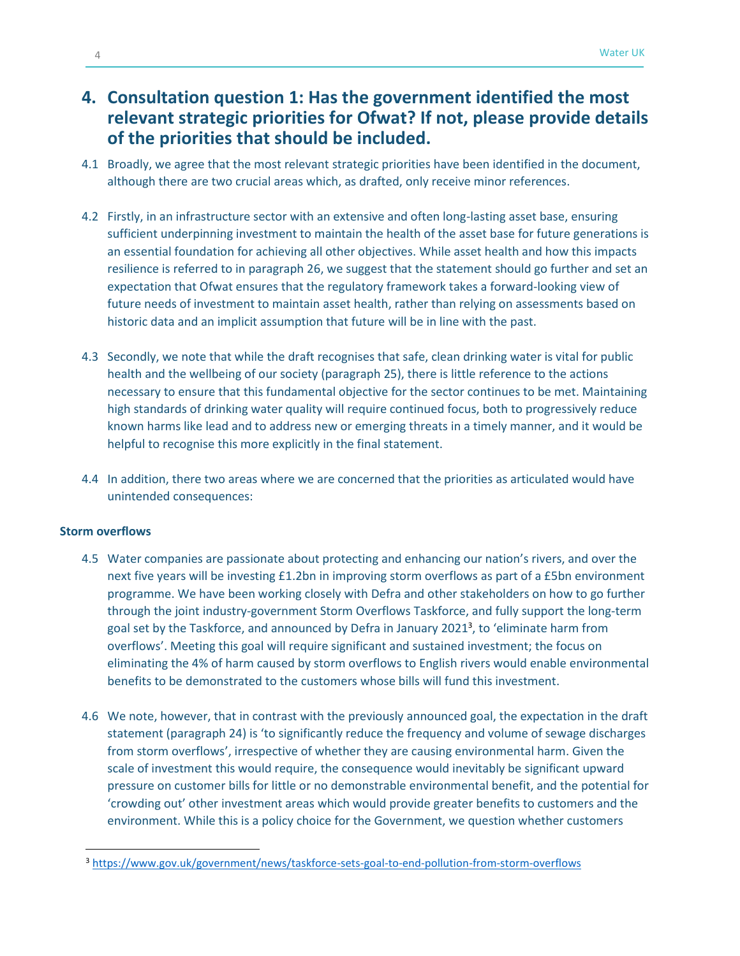# **4. Consultation question 1: Has the government identified the most relevant strategic priorities for Ofwat? If not, please provide details of the priorities that should be included.**

- 4.1 Broadly, we agree that the most relevant strategic priorities have been identified in the document, although there are two crucial areas which, as drafted, only receive minor references.
- 4.2 Firstly, in an infrastructure sector with an extensive and often long-lasting asset base, ensuring sufficient underpinning investment to maintain the health of the asset base for future generations is an essential foundation for achieving all other objectives. While asset health and how this impacts resilience is referred to in paragraph 26, we suggest that the statement should go further and set an expectation that Ofwat ensures that the regulatory framework takes a forward-looking view of future needs of investment to maintain asset health, rather than relying on assessments based on historic data and an implicit assumption that future will be in line with the past.
- 4.3 Secondly, we note that while the draft recognises that safe, clean drinking water is vital for public health and the wellbeing of our society (paragraph 25), there is little reference to the actions necessary to ensure that this fundamental objective for the sector continues to be met. Maintaining high standards of drinking water quality will require continued focus, both to progressively reduce known harms like lead and to address new or emerging threats in a timely manner, and it would be helpful to recognise this more explicitly in the final statement.
- 4.4 In addition, there two areas where we are concerned that the priorities as articulated would have unintended consequences:

### **Storm overflows**

- 4.5 Water companies are passionate about protecting and enhancing our nation's rivers, and over the next five years will be investing £1.2bn in improving storm overflows as part of a £5bn environment programme. We have been working closely with Defra and other stakeholders on how to go further through the joint industry-government Storm Overflows Taskforce, and fully support the long-term goal set by the Taskforce, and announced by Defra in January 2021<sup>3</sup>, to 'eliminate harm from overflows'. Meeting this goal will require significant and sustained investment; the focus on eliminating the 4% of harm caused by storm overflows to English rivers would enable environmental benefits to be demonstrated to the customers whose bills will fund this investment.
- 4.6 We note, however, that in contrast with the previously announced goal, the expectation in the draft statement (paragraph 24) is 'to significantly reduce the frequency and volume of sewage discharges from storm overflows', irrespective of whether they are causing environmental harm. Given the scale of investment this would require, the consequence would inevitably be significant upward pressure on customer bills for little or no demonstrable environmental benefit, and the potential for 'crowding out' other investment areas which would provide greater benefits to customers and the environment. While this is a policy choice for the Government, we question whether customers

<sup>3</sup> <https://www.gov.uk/government/news/taskforce-sets-goal-to-end-pollution-from-storm-overflows>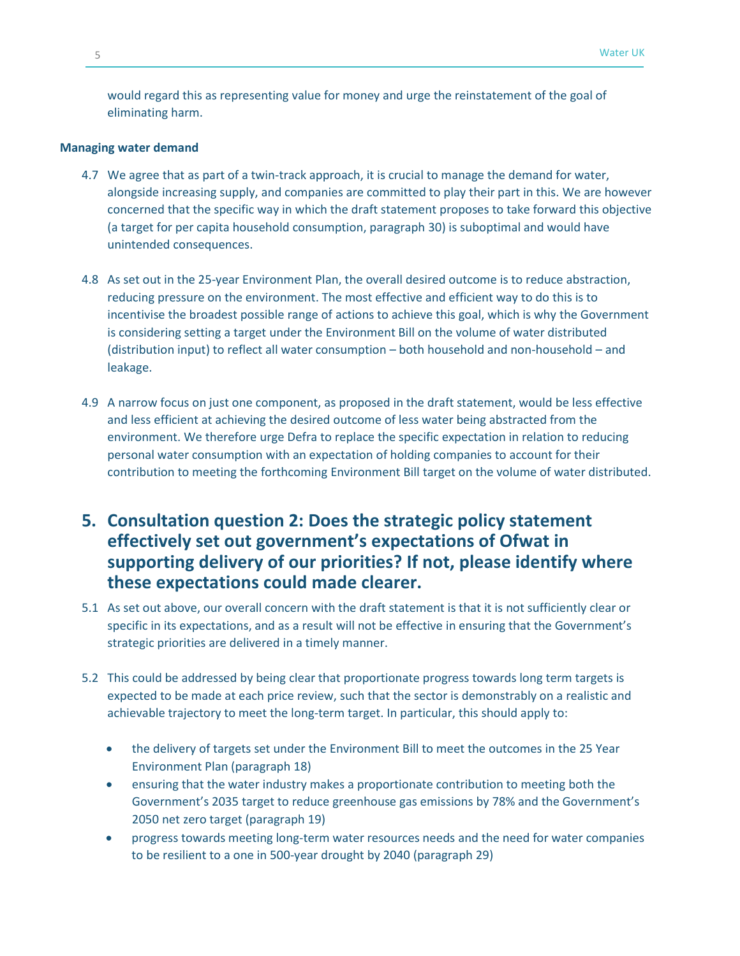would regard this as representing value for money and urge the reinstatement of the goal of eliminating harm.

#### **Managing water demand**

- 4.7 We agree that as part of a twin-track approach, it is crucial to manage the demand for water, alongside increasing supply, and companies are committed to play their part in this. We are however concerned that the specific way in which the draft statement proposes to take forward this objective (a target for per capita household consumption, paragraph 30) is suboptimal and would have unintended consequences.
- 4.8 As set out in the 25-year Environment Plan, the overall desired outcome is to reduce abstraction, reducing pressure on the environment. The most effective and efficient way to do this is to incentivise the broadest possible range of actions to achieve this goal, which is why the Government is considering setting a target under the Environment Bill on the volume of water distributed (distribution input) to reflect all water consumption – both household and non-household – and leakage.
- 4.9 A narrow focus on just one component, as proposed in the draft statement, would be less effective and less efficient at achieving the desired outcome of less water being abstracted from the environment. We therefore urge Defra to replace the specific expectation in relation to reducing personal water consumption with an expectation of holding companies to account for their contribution to meeting the forthcoming Environment Bill target on the volume of water distributed.

## **5. Consultation question 2: Does the strategic policy statement effectively set out government's expectations of Ofwat in supporting delivery of our priorities? If not, please identify where these expectations could made clearer.**

- 5.1 As set out above, our overall concern with the draft statement is that it is not sufficiently clear or specific in its expectations, and as a result will not be effective in ensuring that the Government's strategic priorities are delivered in a timely manner.
- 5.2 This could be addressed by being clear that proportionate progress towards long term targets is expected to be made at each price review, such that the sector is demonstrably on a realistic and achievable trajectory to meet the long-term target. In particular, this should apply to:
	- the delivery of targets set under the Environment Bill to meet the outcomes in the 25 Year Environment Plan (paragraph 18)
	- ensuring that the water industry makes a proportionate contribution to meeting both the Government's 2035 target to reduce greenhouse gas emissions by 78% and the Government's 2050 net zero target (paragraph 19)
	- progress towards meeting long-term water resources needs and the need for water companies to be resilient to a one in 500-year drought by 2040 (paragraph 29)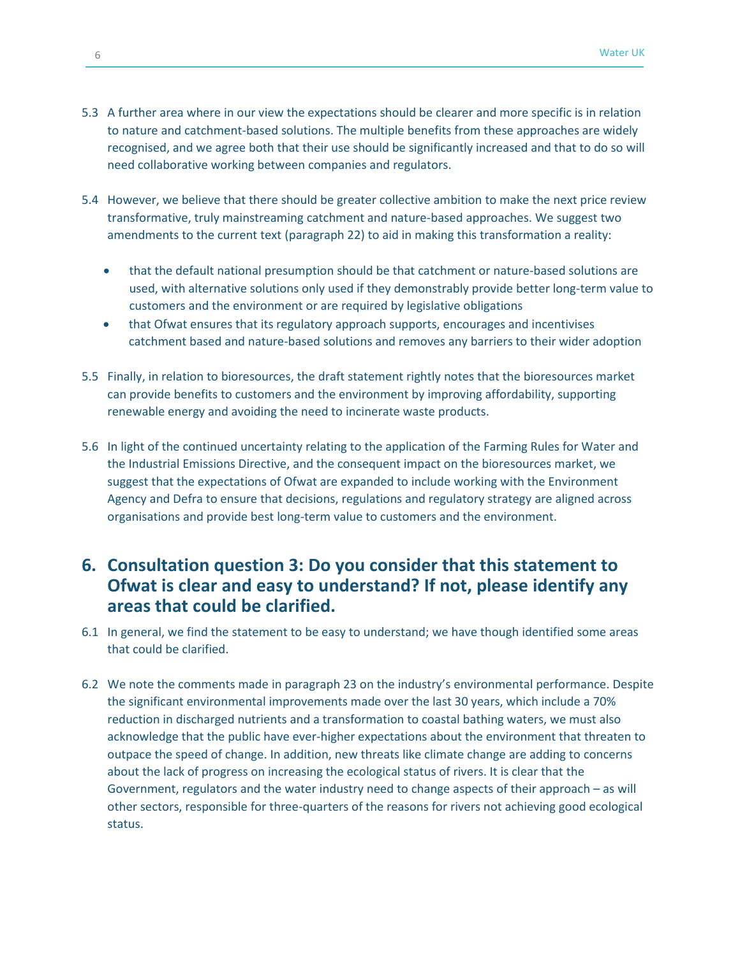- 5.3 A further area where in our view the expectations should be clearer and more specific is in relation to nature and catchment-based solutions. The multiple benefits from these approaches are widely recognised, and we agree both that their use should be significantly increased and that to do so will need collaborative working between companies and regulators.
- 5.4 However, we believe that there should be greater collective ambition to make the next price review transformative, truly mainstreaming catchment and nature-based approaches. We suggest two amendments to the current text (paragraph 22) to aid in making this transformation a reality:
	- that the default national presumption should be that catchment or nature-based solutions are used, with alternative solutions only used if they demonstrably provide better long-term value to customers and the environment or are required by legislative obligations
	- that Ofwat ensures that its regulatory approach supports, encourages and incentivises catchment based and nature-based solutions and removes any barriers to their wider adoption
- 5.5 Finally, in relation to bioresources, the draft statement rightly notes that the bioresources market can provide benefits to customers and the environment by improving affordability, supporting renewable energy and avoiding the need to incinerate waste products.
- 5.6 In light of the continued uncertainty relating to the application of the Farming Rules for Water and the Industrial Emissions Directive, and the consequent impact on the bioresources market, we suggest that the expectations of Ofwat are expanded to include working with the Environment Agency and Defra to ensure that decisions, regulations and regulatory strategy are aligned across organisations and provide best long-term value to customers and the environment.

## **6. Consultation question 3: Do you consider that this statement to Ofwat is clear and easy to understand? If not, please identify any areas that could be clarified.**

- 6.1 In general, we find the statement to be easy to understand; we have though identified some areas that could be clarified.
- 6.2 We note the comments made in paragraph 23 on the industry's environmental performance. Despite the significant environmental improvements made over the last 30 years, which include a 70% reduction in discharged nutrients and a transformation to coastal bathing waters, we must also acknowledge that the public have ever-higher expectations about the environment that threaten to outpace the speed of change. In addition, new threats like climate change are adding to concerns about the lack of progress on increasing the ecological status of rivers. It is clear that the Government, regulators and the water industry need to change aspects of their approach – as will other sectors, responsible for three-quarters of the reasons for rivers not achieving good ecological status.